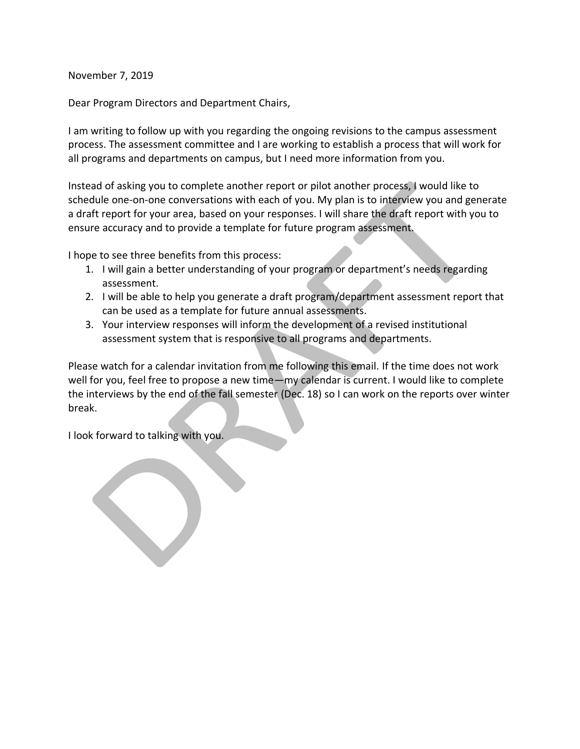November 7, 2019

Dear Program Directors and Department Chairs,

I am writing to follow up with you regarding the ongoing revisions to the campus assessment process. The assessment committee and I are working to establish a process that will work for all programs and departments on campus, but I need more information from you.

Instead of asking you to complete another report or pilot another process, I would like to schedule one-on-one conversations with each of you. My plan is to interview you and generate a draft report for your area, based on your responses. I will share the draft report with you to ensure accuracy and to provide a template for future program assessment.

I hope to see three benefits from this process:

- 1. I will gain a better understanding of your program or department's needs regarding assessment.
- 2. I will be able to help you generate a draft program/department assessment report that can be used as a template for future annual assessments.
- 3. Your interview responses will inform the development of a revised institutional assessment system that is responsive to all programs and departments.

Please watch for a calendar invitation from me following this email. If the time does not work well for you, feel free to propose a new time—my calendar is current. I would like to complete the interviews by the end of the fall semester (Dec. 18) so I can work on the reports over winter break.

I look forward to talking with you.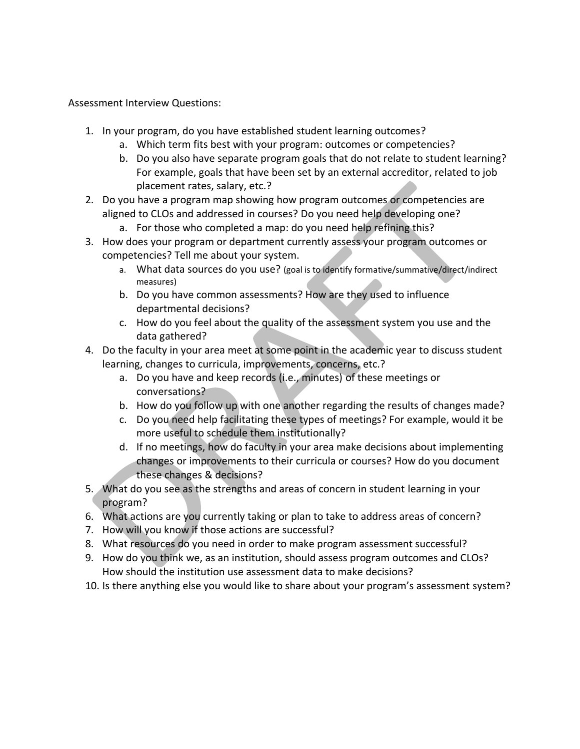Assessment Interview Questions:

- 1. In your program, do you have established student learning outcomes?
	- a. Which term fits best with your program: outcomes or competencies?
	- b. Do you also have separate program goals that do not relate to student learning? For example, goals that have been set by an external accreditor, related to job placement rates, salary, etc.?
- 2. Do you have a program map showing how program outcomes or competencies are aligned to CLOs and addressed in courses? Do you need help developing one?
	- a. For those who completed a map: do you need help refining this?
- 3. How does your program or department currently assess your program outcomes or competencies? Tell me about your system.
	- a. What data sources do you use? (goal is to identify formative/summative/direct/indirect measures)
	- b. Do you have common assessments? How are they used to influence departmental decisions?
	- c. How do you feel about the quality of the assessment system you use and the data gathered?
- 4. Do the faculty in your area meet at some point in the academic year to discuss student learning, changes to curricula, improvements, concerns, etc.?
	- a. Do you have and keep records (i.e., minutes) of these meetings or conversations?
	- b. How do you follow up with one another regarding the results of changes made?
	- c. Do you need help facilitating these types of meetings? For example, would it be more useful to schedule them institutionally?
	- d. If no meetings, how do faculty in your area make decisions about implementing changes or improvements to their curricula or courses? How do you document these changes & decisions?
- 5. What do you see as the strengths and areas of concern in student learning in your program?
- 6. What actions are you currently taking or plan to take to address areas of concern?
- 7. How will you know if those actions are successful?
- 8. What resources do you need in order to make program assessment successful?
- 9. How do you think we, as an institution, should assess program outcomes and CLOs? How should the institution use assessment data to make decisions?
- 10. Is there anything else you would like to share about your program's assessment system?